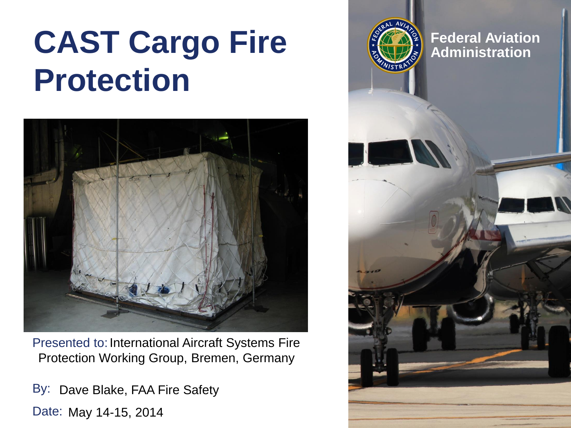# **CAST Cargo Fire**  $\left(\frac{2}{2}\right)^{2}$  Federal Aviation **Protection**



Presented to: International Aircraft Systems Fire Protection Working Group, Bremen, Germany

By: Dave Blake, FAA Fire Safety Date: May 14-15, 2014

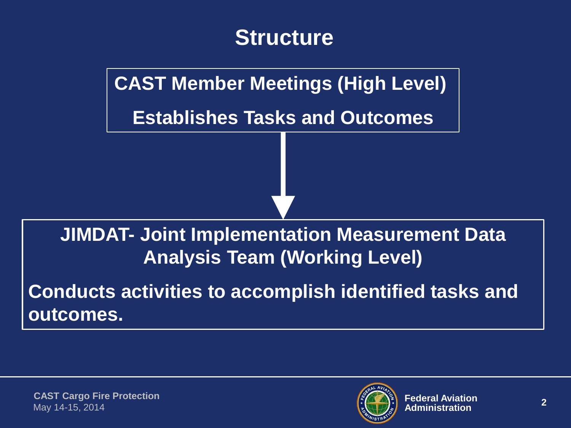

**CAST Member Meetings (High Level)** 

**Establishes Tasks and Outcomes**

#### **JIMDAT- Joint Implementation Measurement Data Analysis Team (Working Level)**

**Conducts activities to accomplish identified tasks and outcomes.**

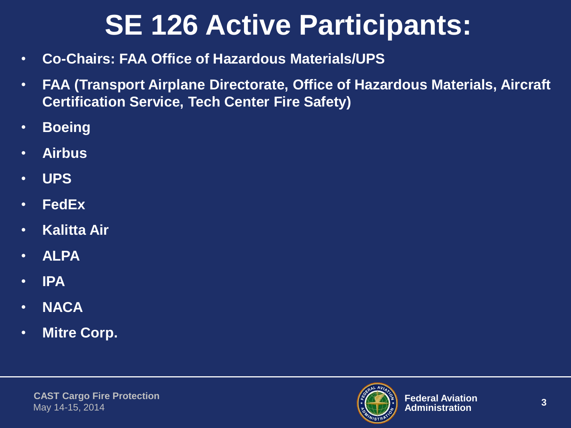## **SE 126 Active Participants:**

- **Co-Chairs: FAA Office of Hazardous Materials/UPS**
- **FAA (Transport Airplane Directorate, Office of Hazardous Materials, Aircraft Certification Service, Tech Center Fire Safety)**
- **Boeing**
- **Airbus**
- **UPS**
- **FedEx**
- **Kalitta Air**
- **ALPA**
- **IPA**
- **NACA**
- **Mitre Corp.**

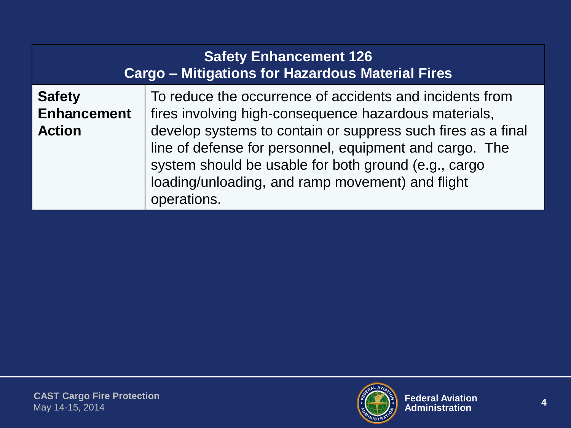| <b>Safety Enhancement 126</b><br><b>Cargo - Mitigations for Hazardous Material Fires</b> |                                                                                                                                                                                                                                                                                                                                                                         |  |
|------------------------------------------------------------------------------------------|-------------------------------------------------------------------------------------------------------------------------------------------------------------------------------------------------------------------------------------------------------------------------------------------------------------------------------------------------------------------------|--|
| <b>Safety</b><br><b>Enhancement</b><br><b>Action</b>                                     | To reduce the occurrence of accidents and incidents from<br>fires involving high-consequence hazardous materials,<br>develop systems to contain or suppress such fires as a final<br>line of defense for personnel, equipment and cargo. The<br>system should be usable for both ground (e.g., cargo<br>loading/unloading, and ramp movement) and flight<br>operations. |  |

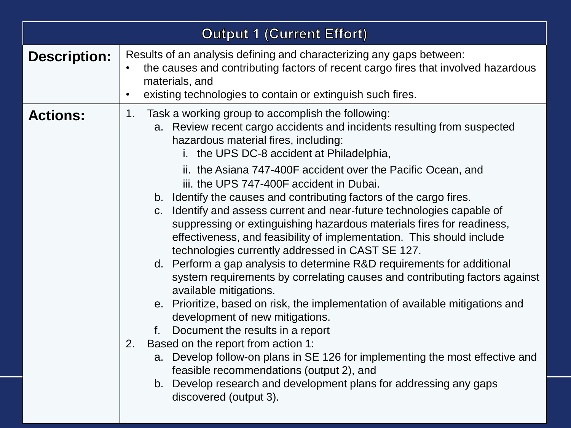| <b>Output 1 (Current Effort)</b> |                                                                                                                                                                                                                                                                                                                                                                                                                                                                                                                                                                                                                                                                                                                                                                                                                                                                                                                                                                                                                                                                                                                                                                                                                                                                                                                   |  |
|----------------------------------|-------------------------------------------------------------------------------------------------------------------------------------------------------------------------------------------------------------------------------------------------------------------------------------------------------------------------------------------------------------------------------------------------------------------------------------------------------------------------------------------------------------------------------------------------------------------------------------------------------------------------------------------------------------------------------------------------------------------------------------------------------------------------------------------------------------------------------------------------------------------------------------------------------------------------------------------------------------------------------------------------------------------------------------------------------------------------------------------------------------------------------------------------------------------------------------------------------------------------------------------------------------------------------------------------------------------|--|
| <b>Description:</b>              | Results of an analysis defining and characterizing any gaps between:<br>the causes and contributing factors of recent cargo fires that involved hazardous<br>materials, and<br>existing technologies to contain or extinguish such fires.<br>$\bullet$                                                                                                                                                                                                                                                                                                                                                                                                                                                                                                                                                                                                                                                                                                                                                                                                                                                                                                                                                                                                                                                            |  |
| <b>Actions:</b>                  | Task a working group to accomplish the following:<br>1.<br>a. Review recent cargo accidents and incidents resulting from suspected<br>hazardous material fires, including:<br>i. the UPS DC-8 accident at Philadelphia,<br>ii. the Asiana 747-400F accident over the Pacific Ocean, and<br>iii. the UPS 747-400F accident in Dubai.<br>b. Identify the causes and contributing factors of the cargo fires.<br>c. Identify and assess current and near-future technologies capable of<br>suppressing or extinguishing hazardous materials fires for readiness,<br>effectiveness, and feasibility of implementation. This should include<br>technologies currently addressed in CAST SE 127.<br>d. Perform a gap analysis to determine R&D requirements for additional<br>system requirements by correlating causes and contributing factors against<br>available mitigations.<br>e. Prioritize, based on risk, the implementation of available mitigations and<br>development of new mitigations.<br>Document the results in a report<br>f.<br>Based on the report from action 1:<br>2.<br>a. Develop follow-on plans in SE 126 for implementing the most effective and<br>feasible recommendations (output 2), and<br>b. Develop research and development plans for addressing any gaps<br>discovered (output 3). |  |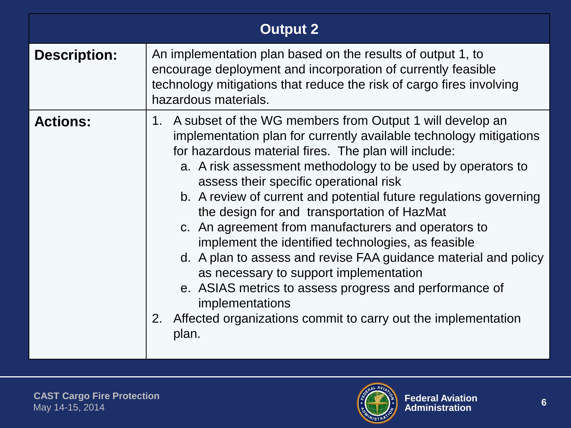| <b>Output 2</b>     |                                                                                                                                                                                                                                                                                                                                                                                                                                                                                                                                                                                                                                                                                                                                                                                                               |  |
|---------------------|---------------------------------------------------------------------------------------------------------------------------------------------------------------------------------------------------------------------------------------------------------------------------------------------------------------------------------------------------------------------------------------------------------------------------------------------------------------------------------------------------------------------------------------------------------------------------------------------------------------------------------------------------------------------------------------------------------------------------------------------------------------------------------------------------------------|--|
| <b>Description:</b> | An implementation plan based on the results of output 1, to<br>encourage deployment and incorporation of currently feasible<br>technology mitigations that reduce the risk of cargo fires involving<br>hazardous materials.                                                                                                                                                                                                                                                                                                                                                                                                                                                                                                                                                                                   |  |
| <b>Actions:</b>     | 1. A subset of the WG members from Output 1 will develop an<br>implementation plan for currently available technology mitigations<br>for hazardous material fires. The plan will include:<br>a. A risk assessment methodology to be used by operators to<br>assess their specific operational risk<br>b. A review of current and potential future regulations governing<br>the design for and transportation of HazMat<br>c. An agreement from manufacturers and operators to<br>implement the identified technologies, as feasible<br>d. A plan to assess and revise FAA guidance material and policy<br>as necessary to support implementation<br>e. ASIAS metrics to assess progress and performance of<br>implementations<br>Affected organizations commit to carry out the implementation<br>2.<br>plan. |  |

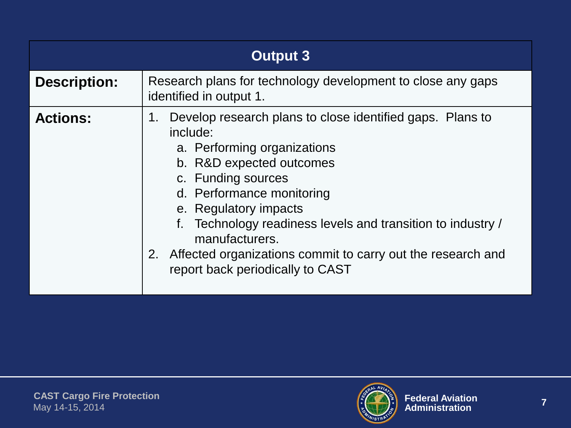| <b>Output 3</b>     |                                                                                                                                                                                                                                                                                                                                                                                                           |  |
|---------------------|-----------------------------------------------------------------------------------------------------------------------------------------------------------------------------------------------------------------------------------------------------------------------------------------------------------------------------------------------------------------------------------------------------------|--|
| <b>Description:</b> | Research plans for technology development to close any gaps<br>identified in output 1.                                                                                                                                                                                                                                                                                                                    |  |
| <b>Actions:</b>     | Develop research plans to close identified gaps. Plans to<br>1.<br>include:<br>a. Performing organizations<br>b. R&D expected outcomes<br>c. Funding sources<br>d. Performance monitoring<br>e. Regulatory impacts<br>Technology readiness levels and transition to industry /<br>manufacturers.<br>2.<br>Affected organizations commit to carry out the research and<br>report back periodically to CAST |  |